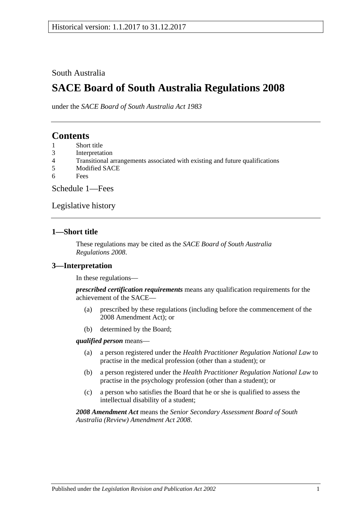### South Australia

# **SACE Board of South Australia Regulations 2008**

under the *SACE Board of South Australia Act 1983*

## **Contents**

- 1 [Short title](#page-0-0)
- 3 [Interpretation](#page-0-1)
- 4 [Transitional arrangements associated with existing and future qualifications](#page-1-0)
- 5 [Modified SACE](#page-1-1)
- 6 [Fees](#page-1-2)

[Schedule 1—Fees](#page-1-3)

[Legislative history](#page-4-0)

### <span id="page-0-0"></span>**1—Short title**

These regulations may be cited as the *SACE Board of South Australia Regulations 2008*.

### <span id="page-0-1"></span>**3—Interpretation**

In these regulations—

*prescribed certification requirements* means any qualification requirements for the achievement of the SACE—

- (a) prescribed by these regulations (including before the commencement of the 2008 Amendment Act); or
- (b) determined by the Board;

#### *qualified person* means—

- (a) a person registered under the *[Health Practitioner Regulation National Law](http://www.legislation.sa.gov.au/index.aspx?action=legref&type=act&legtitle=Health%20Practitioner%20Regulation%20National%20Law)* to practise in the medical profession (other than a student); or
- (b) a person registered under the *[Health Practitioner Regulation National Law](http://www.legislation.sa.gov.au/index.aspx?action=legref&type=act&legtitle=Health%20Practitioner%20Regulation%20National%20Law)* to practise in the psychology profession (other than a student); or
- (c) a person who satisfies the Board that he or she is qualified to assess the intellectual disability of a student;

*2008 Amendment Act* means the *[Senior Secondary Assessment Board of South](http://www.legislation.sa.gov.au/index.aspx?action=legref&type=act&legtitle=Senior%20Secondary%20Assessment%20Board%20of%20South%20Australia%20(Review)%20Amendment%20Act%202008)  [Australia \(Review\) Amendment Act](http://www.legislation.sa.gov.au/index.aspx?action=legref&type=act&legtitle=Senior%20Secondary%20Assessment%20Board%20of%20South%20Australia%20(Review)%20Amendment%20Act%202008) 2008*.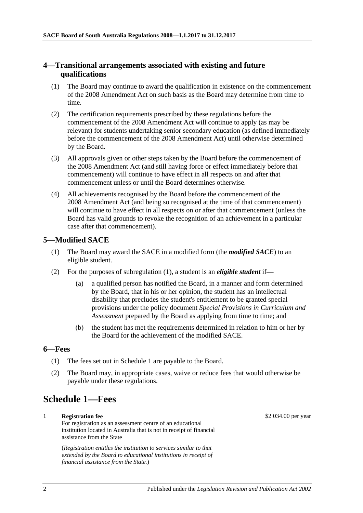### <span id="page-1-0"></span>**4—Transitional arrangements associated with existing and future qualifications**

- (1) The Board may continue to award the qualification in existence on the commencement of the 2008 Amendment Act on such basis as the Board may determine from time to time.
- (2) The certification requirements prescribed by these regulations before the commencement of the 2008 Amendment Act will continue to apply (as may be relevant) for students undertaking senior secondary education (as defined immediately before the commencement of the 2008 Amendment Act) until otherwise determined by the Board.
- (3) All approvals given or other steps taken by the Board before the commencement of the 2008 Amendment Act (and still having force or effect immediately before that commencement) will continue to have effect in all respects on and after that commencement unless or until the Board determines otherwise.
- (4) All achievements recognised by the Board before the commencement of the 2008 Amendment Act (and being so recognised at the time of that commencement) will continue to have effect in all respects on or after that commencement (unless the Board has valid grounds to revoke the recognition of an achievement in a particular case after that commencement).

### <span id="page-1-4"></span><span id="page-1-1"></span>**5—Modified SACE**

- (1) The Board may award the SACE in a modified form (the *modified SACE*) to an eligible student.
- (2) For the purposes of [subregulation](#page-1-4) (1), a student is an *eligible student* if
	- a qualified person has notified the Board, in a manner and form determined by the Board, that in his or her opinion, the student has an intellectual disability that precludes the student's entitlement to be granted special provisions under the policy document *Special Provisions in Curriculum and Assessment* prepared by the Board as applying from time to time; and
	- (b) the student has met the requirements determined in relation to him or her by the Board for the achievement of the modified SACE.

#### <span id="page-1-2"></span>**6—Fees**

- (1) The fees set out in Schedule 1 are payable to the Board.
- (2) The Board may, in appropriate cases, waive or reduce fees that would otherwise be payable under these regulations.

# <span id="page-1-3"></span>**Schedule 1—Fees**

### 1 **Registration fee**

For registration as an assessment centre of an educational institution located in Australia that is not in receipt of financial assistance from the State

(*Registration entitles the institution to services similar to that extended by the Board to educational institutions in receipt of financial assistance from the State.*)

\$2 034.00 per year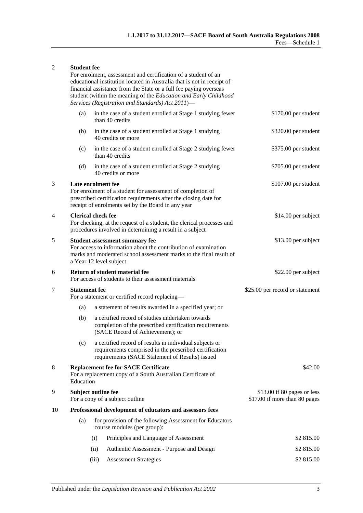#### 2 **Student fee**

For enrolment, assessment and certification of a student of an educational institution located in Australia that is not in receipt of financial assistance from the State or a full fee paying overseas student (within the meaning of the *[Education and Early Childhood](http://www.legislation.sa.gov.au/index.aspx?action=legref&type=act&legtitle=Education%20and%20Early%20Childhood%20Services%20(Registration%20and%20Standards)%20Act%202011)  [Services \(Registration and Standards\) Act](http://www.legislation.sa.gov.au/index.aspx?action=legref&type=act&legtitle=Education%20and%20Early%20Childhood%20Services%20(Registration%20and%20Standards)%20Act%202011) 2011*)—

|    | (a)                                                                                                                                                                                                        |                                                                        | in the case of a student enrolled at Stage 1 studying fewer<br>than 40 credits                                                                                       | $$170.00$ per student                                        |
|----|------------------------------------------------------------------------------------------------------------------------------------------------------------------------------------------------------------|------------------------------------------------------------------------|----------------------------------------------------------------------------------------------------------------------------------------------------------------------|--------------------------------------------------------------|
|    | (b)                                                                                                                                                                                                        |                                                                        | in the case of a student enrolled at Stage 1 studying<br>40 credits or more                                                                                          | \$320.00 per student                                         |
|    | (c)                                                                                                                                                                                                        |                                                                        | in the case of a student enrolled at Stage 2 studying fewer<br>than 40 credits                                                                                       | \$375.00 per student                                         |
|    | (d)                                                                                                                                                                                                        |                                                                        | in the case of a student enrolled at Stage 2 studying<br>40 credits or more                                                                                          | \$705.00 per student                                         |
| 3  | Late enrolment fee<br>For enrolment of a student for assessment of completion of<br>prescribed certification requirements after the closing date for<br>receipt of enrolments set by the Board in any year |                                                                        |                                                                                                                                                                      | \$107.00 per student                                         |
| 4  | <b>Clerical check fee</b><br>For checking, at the request of a student, the clerical processes and<br>procedures involved in determining a result in a subject                                             |                                                                        |                                                                                                                                                                      | \$14.00 per subject                                          |
| 5  | <b>Student assessment summary fee</b><br>For access to information about the contribution of examination<br>marks and moderated school assessment marks to the final result of<br>a Year 12 level subject  |                                                                        |                                                                                                                                                                      | \$13.00 per subject                                          |
| 6  | Return of student material fee<br>For access of students to their assessment materials                                                                                                                     |                                                                        |                                                                                                                                                                      | \$22.00 per subject                                          |
| 7  |                                                                                                                                                                                                            | <b>Statement fee</b><br>For a statement or certified record replacing- |                                                                                                                                                                      | \$25.00 per record or statement                              |
|    | (a)                                                                                                                                                                                                        |                                                                        | a statement of results awarded in a specified year; or                                                                                                               |                                                              |
|    | (b)                                                                                                                                                                                                        |                                                                        | a certified record of studies undertaken towards<br>completion of the prescribed certification requirements<br>(SACE Record of Achievement); or                      |                                                              |
|    | (c)                                                                                                                                                                                                        |                                                                        | a certified record of results in individual subjects or<br>requirements comprised in the prescribed certification<br>requirements (SACE Statement of Results) issued |                                                              |
| 8  | <b>Replacement fee for SACE Certificate</b><br>For a replacement copy of a South Australian Certificate of<br>Education                                                                                    |                                                                        |                                                                                                                                                                      | \$42.00                                                      |
| 9  | Subject outline fee<br>For a copy of a subject outline                                                                                                                                                     |                                                                        |                                                                                                                                                                      | \$13.00 if 80 pages or less<br>\$17.00 if more than 80 pages |
| 10 |                                                                                                                                                                                                            |                                                                        | Professional development of educators and assessors fees                                                                                                             |                                                              |
|    | (a)                                                                                                                                                                                                        |                                                                        | for provision of the following Assessment for Educators<br>course modules (per group):                                                                               |                                                              |
|    |                                                                                                                                                                                                            | (i)                                                                    | Principles and Language of Assessment                                                                                                                                | \$2 815.00                                                   |
|    |                                                                                                                                                                                                            | (ii)                                                                   | Authentic Assessment - Purpose and Design                                                                                                                            | \$2 815.00                                                   |
|    |                                                                                                                                                                                                            | (iii)                                                                  | <b>Assessment Strategies</b>                                                                                                                                         | \$2 815.00                                                   |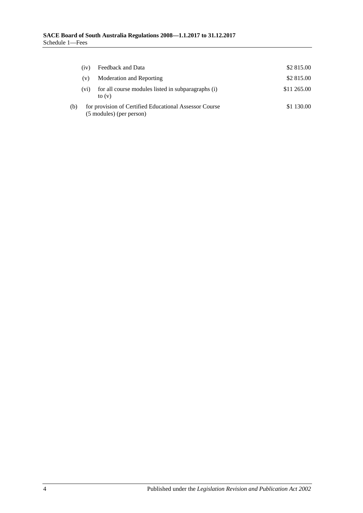|     | (iv)                                                                               | Feedback and Data                                              | \$2 815.00  |
|-----|------------------------------------------------------------------------------------|----------------------------------------------------------------|-------------|
|     | (v)                                                                                | Moderation and Reporting                                       | \$2 815.00  |
|     | (v <sub>1</sub> )                                                                  | for all course modules listed in subparagraphs (i)<br>to $(v)$ | \$11 265.00 |
| (b) | for provision of Certified Educational Assessor Course<br>(5 modules) (per person) |                                                                | \$1 130.00  |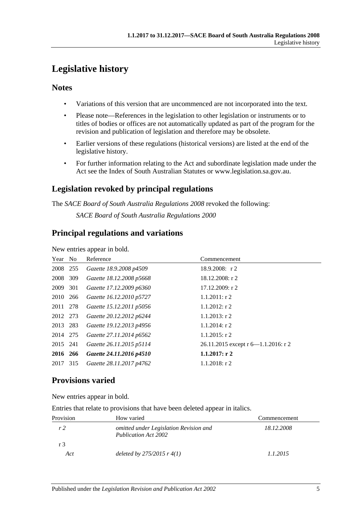# <span id="page-4-0"></span>**Legislative history**

### **Notes**

- Variations of this version that are uncommenced are not incorporated into the text.
- Please note—References in the legislation to other legislation or instruments or to titles of bodies or offices are not automatically updated as part of the program for the revision and publication of legislation and therefore may be obsolete.
- Earlier versions of these regulations (historical versions) are listed at the end of the legislative history.
- For further information relating to the Act and subordinate legislation made under the Act see the Index of South Australian Statutes or www.legislation.sa.gov.au.

## **Legislation revoked by principal regulations**

The *SACE Board of South Australia Regulations 2008* revoked the following:

*SACE Board of South Australia Regulations 2000*

## **Principal regulations and variations**

New entries appear in bold.

| Year No  | Reference                | Commencement                        |
|----------|--------------------------|-------------------------------------|
| 2008 255 | Gazette 18.9.2008 p4509  | $18.9.2008$ : r 2                   |
| 2008 309 | Gazette 18.12.2008 p5668 | 18.12.2008: r 2                     |
| 2009 301 | Gazette 17.12.2009 p6360 | 17.12.2009: r2                      |
| 2010 266 | Gazette 16.12.2010 p5727 | $1.1.2011:$ r 2                     |
| 2011 278 | Gazette 15.12.2011 p5056 | $1.1.2012$ : r 2                    |
| 2012 273 | Gazette 20.12.2012 p6244 | $1.1.2013$ : r 2                    |
| 2013 283 | Gazette 19.12.2013 p4956 | $1.1.2014$ : r 2                    |
| 2014 275 | Gazette 27.11.2014 p6562 | $1.1.2015$ : r 2                    |
| 2015 241 | Gazette 26.11.2015 p5114 | 26.11.2015 except r 6-1.1.2016: r 2 |
| 2016 266 | Gazette 24.11.2016 p4510 | 1.1.2017: r2                        |
| 2017 315 | Gazette 28.11.2017 p4762 | $1.1.2018$ : r 2                    |
|          |                          |                                     |

# **Provisions varied**

New entries appear in bold.

| Entries that relate to provisions that have been deleted appear in italics. |  |  |  |
|-----------------------------------------------------------------------------|--|--|--|
|-----------------------------------------------------------------------------|--|--|--|

| Provision | How varied                                                     | Commencement |
|-----------|----------------------------------------------------------------|--------------|
| r2        | omitted under Legislation Revision and<br>Publication Act 2002 | 18.12.2008   |
| r 3       |                                                                |              |
| Act       | deleted by $275/2015$ r $4(1)$                                 | 1.1.2015     |